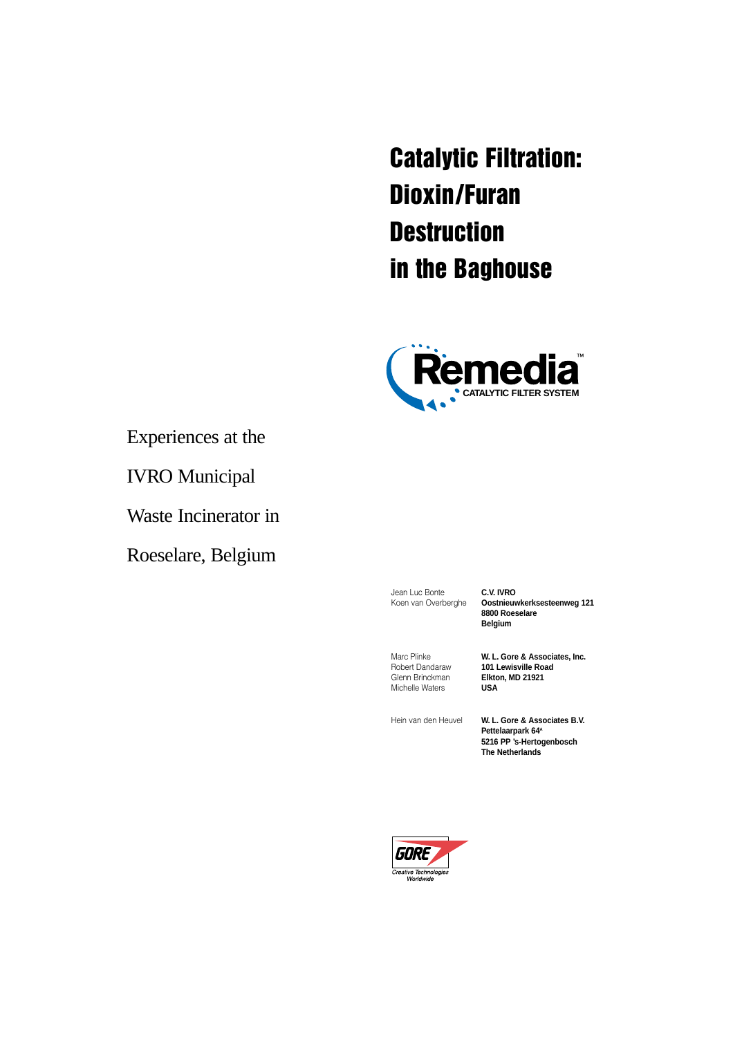**Catalytic Filtration: Dioxin/Furan Destruction in the Baghouse**



Experiences at the

IVRO Municipal

Waste Incinerator in

Roeselare, Belgium

Jean Luc Bonte<br>Koen van Overberghe **Costnieuv** 

Koen van Overberghe **Oostnieuwkerksesteenweg 121 8800 Roeselare Belgium**

Glenn Brinckman **Elkto**<br>Michelle Waters **USA Michelle Waters** 

Marc Plinke **W. L. Gore & Associates, Inc.**<br>
Robert Dandaraw **101 Lewisville Road** 101 Lewisville Road<br>Elkton, MD 21921

Hein van den Heuvel **W. L. Gore & Associates B.V. Pettelaarpark 64A 5216 PP 's-Hertogenbosch The Netherlands**

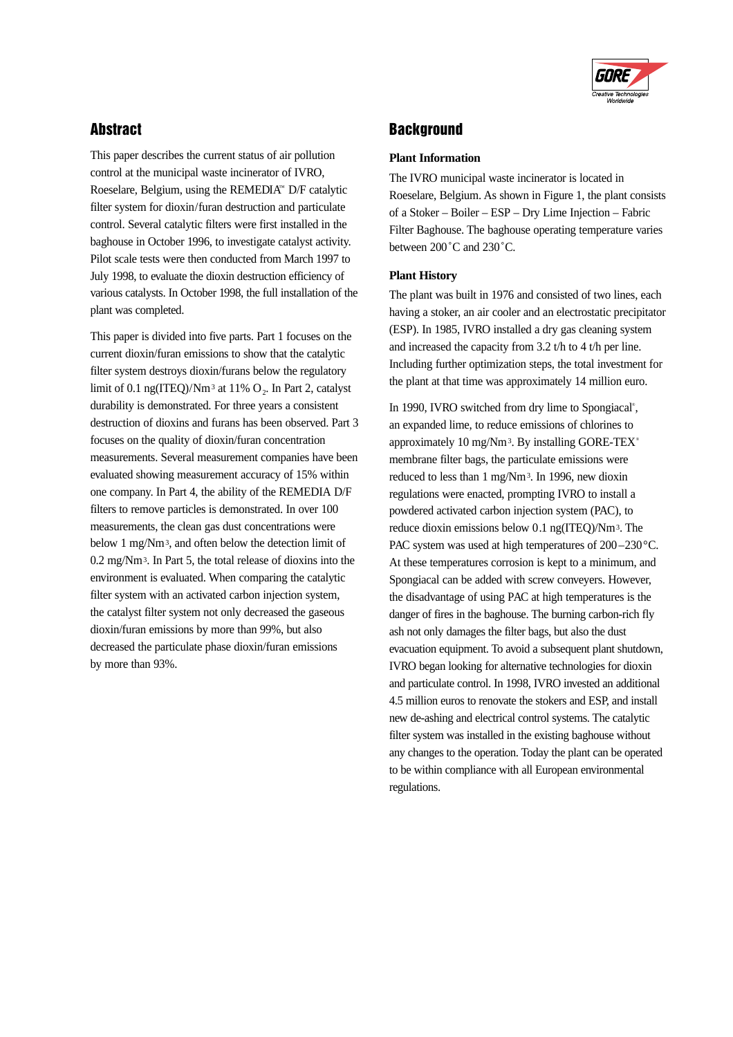# **Abstract**

This paper describes the current status of air pollution control at the municipal waste incinerator of IVRO, Roeselare, Belgium, using the REMEDIA™ D/F catalytic filter system for dioxin/furan destruction and particulate control. Several catalytic filters were first installed in the baghouse in October 1996, to investigate catalyst activity. Pilot scale tests were then conducted from March 1997 to July 1998, to evaluate the dioxin destruction efficiency of various catalysts. In October 1998, the full installation of the plant was completed.

This paper is divided into five parts. Part 1 focuses on the current dioxin/furan emissions to show that the catalytic filter system destroys dioxin/furans below the regulatory limit of 0.1 ng(ITEQ)/Nm<sup>3</sup> at 11%  $O_2$ . In Part 2, catalyst durability is demonstrated. For three years a consistent destruction of dioxins and furans has been observed. Part 3 focuses on the quality of dioxin/furan concentration measurements. Several measurement companies have been evaluated showing measurement accuracy of 15% within one company. In Part 4, the ability of the REMEDIA D/F filters to remove particles is demonstrated. In over 100 measurements, the clean gas dust concentrations were below 1 mg/Nm3, and often below the detection limit of 0.2 mg/Nm3. In Part 5, the total release of dioxins into the environment is evaluated. When comparing the catalytic filter system with an activated carbon injection system, the catalyst filter system not only decreased the gaseous dioxin/furan emissions by more than 99%, but also decreased the particulate phase dioxin/furan emissions by more than 93%.



## **Background**

### **Plant Information**

The IVRO municipal waste incinerator is located in Roeselare, Belgium. As shown in Figure 1, the plant consists of a Stoker – Boiler – ESP – Dry Lime Injection – Fabric Filter Baghouse. The baghouse operating temperature varies between 200˚C and 230˚C.

### **Plant History**

The plant was built in 1976 and consisted of two lines, each having a stoker, an air cooler and an electrostatic precipitator (ESP). In 1985, IVRO installed a dry gas cleaning system and increased the capacity from 3.2 t/h to 4 t/h per line. Including further optimization steps, the total investment for the plant at that time was approximately 14 million euro.

In 1990, IVRO switched from dry lime to Spongiacal® , an expanded lime, to reduce emissions of chlorines to approximately 10 mg/Nm<sup>3</sup>. By installing GORE-TEX<sup>®</sup> membrane filter bags, the particulate emissions were reduced to less than 1 mg/Nm3. In 1996, new dioxin regulations were enacted, prompting IVRO to install a powdered activated carbon injection system (PAC), to reduce dioxin emissions below 0.1 ng(ITEQ)/Nm3. The PAC system was used at high temperatures of 200-230 °C. At these temperatures corrosion is kept to a minimum, and Spongiacal can be added with screw conveyers. However, the disadvantage of using PAC at high temperatures is the danger of fires in the baghouse. The burning carbon-rich fly ash not only damages the filter bags, but also the dust evacuation equipment. To avoid a subsequent plant shutdown, IVRO began looking for alternative technologies for dioxin and particulate control. In 1998, IVRO invested an additional 4.5 million euros to renovate the stokers and ESP, and install new de-ashing and electrical control systems. The catalytic filter system was installed in the existing baghouse without any changes to the operation. Today the plant can be operated to be within compliance with all European environmental regulations.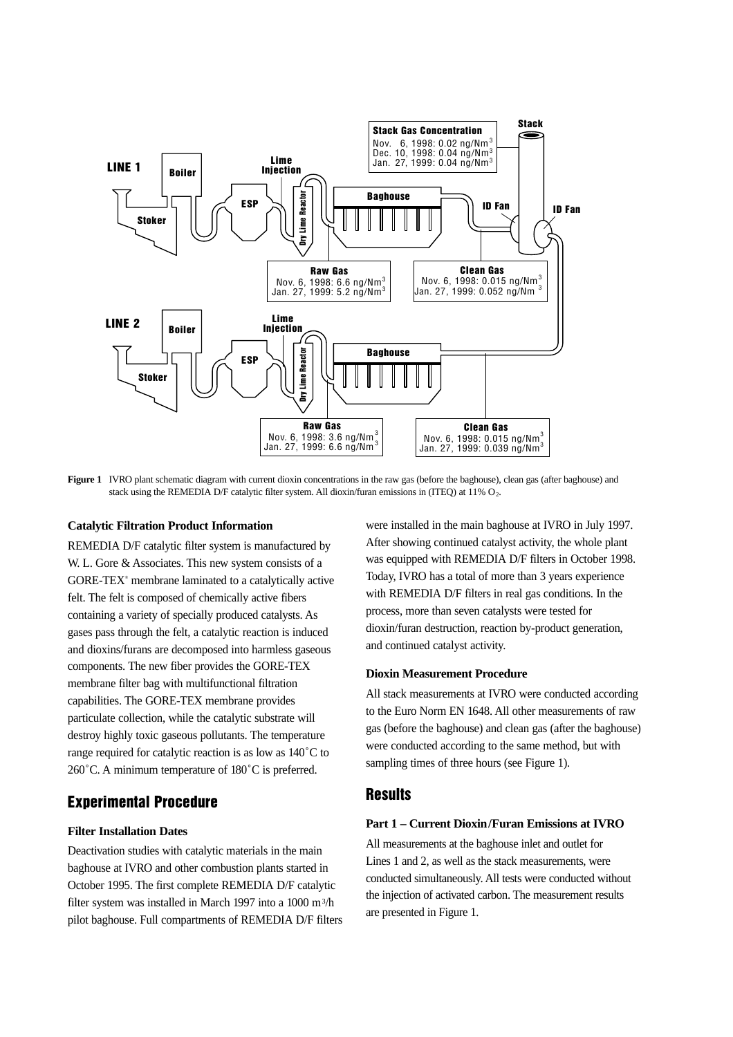

Figure 1 IVRO plant schematic diagram with current dioxin concentrations in the raw gas (before the baghouse), clean gas (after baghouse) and stack using the REMEDIA D/F catalytic filter system. All dioxin/furan emissions in (ITEQ) at  $11\%$  O<sub>2</sub>.

#### **Catalytic Filtration Product Information**

REMEDIA D/F catalytic filter system is manufactured by W. L. Gore & Associates. This new system consists of a GORE-TEX® membrane laminated to a catalytically active felt. The felt is composed of chemically active fibers containing a variety of specially produced catalysts. As gases pass through the felt, a catalytic reaction is induced and dioxins/furans are decomposed into harmless gaseous components. The new fiber provides the GORE-TEX membrane filter bag with multifunctional filtration capabilities. The GORE-TEX membrane provides particulate collection, while the catalytic substrate will destroy highly toxic gaseous pollutants. The temperature range required for catalytic reaction is as low as 140˚C to 260˚C. A minimum temperature of 180˚C is preferred.

## **Experimental Procedure**

### **Filter Installation Dates**

Deactivation studies with catalytic materials in the main baghouse at IVRO and other combustion plants started in October 1995. The first complete REMEDIA D/F catalytic filter system was installed in March 1997 into a 1000 m3/h pilot baghouse. Full compartments of REMEDIA D/F filters

were installed in the main baghouse at IVRO in July 1997. After showing continued catalyst activity, the whole plant was equipped with REMEDIA D/F filters in October 1998. Today, IVRO has a total of more than 3 years experience with REMEDIA D/F filters in real gas conditions. In the process, more than seven catalysts were tested for dioxin/furan destruction, reaction by-product generation, and continued catalyst activity.

#### **Dioxin Measurement Procedure**

All stack measurements at IVRO were conducted according to the Euro Norm EN 1648. All other measurements of raw gas (before the baghouse) and clean gas (after the baghouse) were conducted according to the same method, but with sampling times of three hours (see Figure 1).

### **Results**

#### **Part 1 – Current Dioxin/Furan Emissions at IVRO**

All measurements at the baghouse inlet and outlet for Lines 1 and 2, as well as the stack measurements, were conducted simultaneously. All tests were conducted without the injection of activated carbon. The measurement results are presented in Figure 1.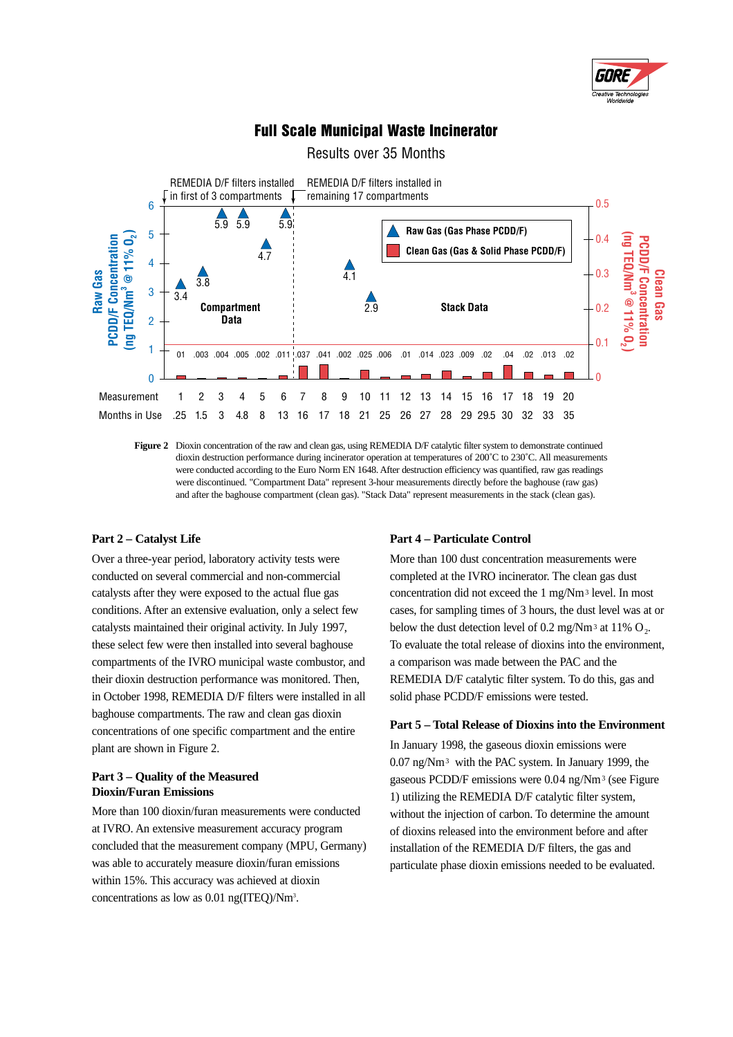

## **Full Scale Municipal Waste Incinerator**

Results over 35 Months



**Figure 2** Dioxin concentration of the raw and clean gas, using REMEDIA D/F catalytic filter system to demonstrate continued dioxin destruction performance during incinerator operation at temperatures of 200˚C to 230˚C. All measurements were conducted according to the Euro Norm EN 1648. After destruction efficiency was quantified, raw gas readings were discontinued. "Compartment Data" represent 3-hour measurements directly before the baghouse (raw gas) and after the baghouse compartment (clean gas). "Stack Data" represent measurements in the stack (clean gas).

#### **Part 2 – Catalyst Life**

Over a three-year period, laboratory activity tests were conducted on several commercial and non-commercial catalysts after they were exposed to the actual flue gas conditions. After an extensive evaluation, only a select few catalysts maintained their original activity. In July 1997, these select few were then installed into several baghouse compartments of the IVRO municipal waste combustor, and their dioxin destruction performance was monitored. Then, in October 1998, REMEDIA D/F filters were installed in all baghouse compartments. The raw and clean gas dioxin concentrations of one specific compartment and the entire plant are shown in Figure 2.

### **Part 3 – Quality of the Measured Dioxin/Furan Emissions**

More than 100 dioxin/furan measurements were conducted at IVRO. An extensive measurement accuracy program concluded that the measurement company (MPU, Germany) was able to accurately measure dioxin/furan emissions within 15%. This accuracy was achieved at dioxin concentrations as low as 0.01 ng(ITEQ)/Nm3 .

#### **Part 4 – Particulate Control**

More than 100 dust concentration measurements were completed at the IVRO incinerator. The clean gas dust concentration did not exceed the 1 mg/Nm3 level. In most cases, for sampling times of 3 hours, the dust level was at or below the dust detection level of 0.2 mg/Nm<sup>3</sup> at 11%  $O_2$ . To evaluate the total release of dioxins into the environment, a comparison was made between the PAC and the REMEDIA D/F catalytic filter system. To do this, gas and solid phase PCDD/F emissions were tested.

#### **Part 5 – Total Release of Dioxins into the Environment**

In January 1998, the gaseous dioxin emissions were 0.07 ng/Nm3 with the PAC system. In January 1999, the gaseous PCDD/F emissions were 0.04 ng/Nm3 (see Figure 1) utilizing the REMEDIA D/F catalytic filter system, without the injection of carbon. To determine the amount of dioxins released into the environment before and after installation of the REMEDIA D/F filters, the gas and particulate phase dioxin emissions needed to be evaluated.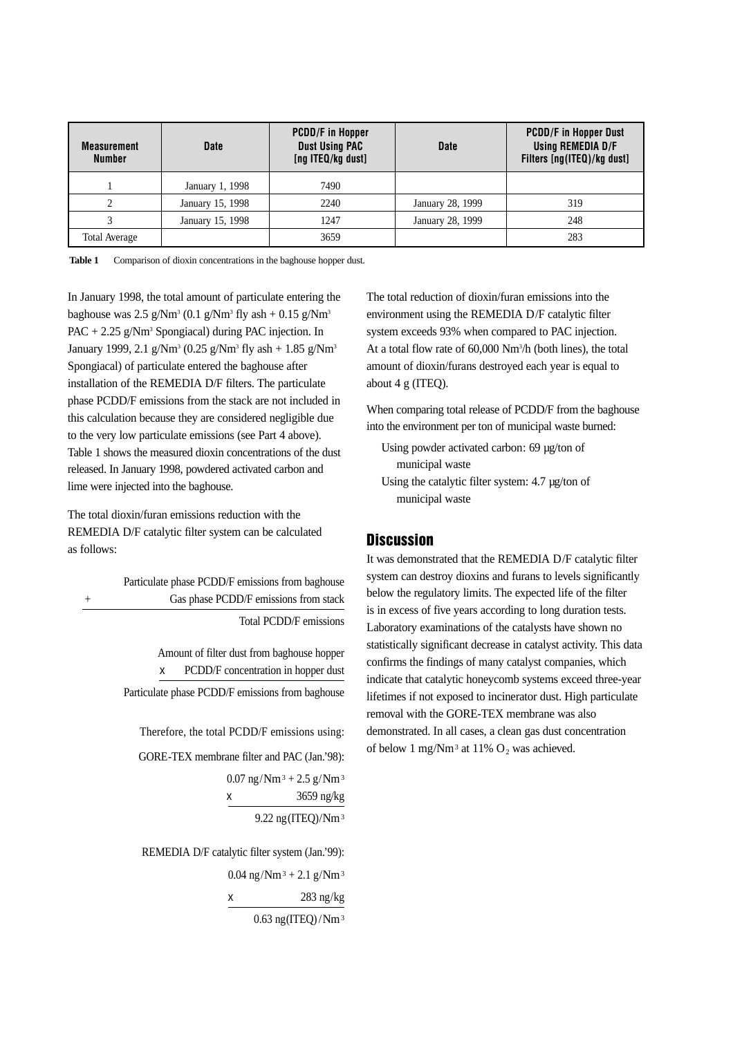| <b>Measurement</b><br><b>Number</b> | <b>Date</b>      | <b>PCDD/F</b> in Hopper<br><b>Dust Using PAC</b><br>[ng ITEQ/kg dust] | <b>Date</b>      | <b>PCDD/F in Hopper Dust</b><br>Using REMEDIA D/F<br>Filters [ng(ITEQ)/kg dust] |
|-------------------------------------|------------------|-----------------------------------------------------------------------|------------------|---------------------------------------------------------------------------------|
|                                     | January 1, 1998  | 7490                                                                  |                  |                                                                                 |
|                                     | January 15, 1998 | 2240                                                                  | January 28, 1999 | 319                                                                             |
|                                     | January 15, 1998 | 1247                                                                  | January 28, 1999 | 248                                                                             |
| <b>Total Average</b>                |                  | 3659                                                                  |                  | 283                                                                             |

Table 1 Comparison of dioxin concentrations in the baghouse hopper dust.

In January 1998, the total amount of particulate entering the baghouse was  $2.5$  g/Nm<sup>3</sup> (0.1 g/Nm<sup>3</sup> fly ash + 0.15 g/Nm<sup>3</sup> PAC + 2.25  $\text{g}/\text{Nm}^3$  Spongiacal) during PAC injection. In January 1999, 2.1 g/Nm<sup>3</sup> (0.25 g/Nm<sup>3</sup> fly ash + 1.85 g/Nm<sup>3</sup> Spongiacal) of particulate entered the baghouse after installation of the REMEDIA D/F filters. The particulate phase PCDD/F emissions from the stack are not included in this calculation because they are considered negligible due to the very low particulate emissions (see Part 4 above). Table 1 shows the measured dioxin concentrations of the dust released. In January 1998, powdered activated carbon and lime were injected into the baghouse.

The total dioxin/furan emissions reduction with the REMEDIA D/F catalytic filter system can be calculated as follows:

Particulate phase PCDD/F emissions from baghouse Gas phase PCDD/F emissions from stack Total PCDD/F emissions

> Amount of filter dust from baghouse hopper x PCDD/F concentration in hopper dust Particulate phase PCDD/F emissions from baghouse

Therefore, the total PCDD/F emissions using:

GORE-TEX membrane filter and PAC (Jan.'98):

 $0.07$  ng/Nm<sup>3</sup> + 2.5 g/Nm<sup>3</sup> x 3659 ng/kg 9.22 ng(ITEQ)/Nm3

REMEDIA D/F catalytic filter system (Jan.'99):

 $0.04$  ng/Nm<sup>3</sup> + 2.1 g/Nm<sup>3</sup>

$$
\begin{array}{c}\n \mathbf{x} \\
 \hline\n 283 \text{ ng/kg}\n \end{array}
$$

0.63 ng(ITEQ) /Nm3

The total reduction of dioxin/furan emissions into the environment using the REMEDIA D/F catalytic filter system exceeds 93% when compared to PAC injection. At a total flow rate of 60,000 Nm3 /h (both lines), the total amount of dioxin/furans destroyed each year is equal to about 4 g (ITEQ).

When comparing total release of PCDD/F from the baghouse into the environment per ton of municipal waste burned:

- Using powder activated carbon: 69 µg/ton of municipal waste
- Using the catalytic filter system: 4.7 µg/ton of municipal waste

# **Discussion**

It was demonstrated that the REMEDIA D/F catalytic filter system can destroy dioxins and furans to levels significantly below the regulatory limits. The expected life of the filter is in excess of five years according to long duration tests. Laboratory examinations of the catalysts have shown no statistically significant decrease in catalyst activity. This data confirms the findings of many catalyst companies, which indicate that catalytic honeycomb systems exceed three-year lifetimes if not exposed to incinerator dust. High particulate removal with the GORE-TEX membrane was also demonstrated. In all cases, a clean gas dust concentration of below 1 mg/Nm<sup>3</sup> at 11%  $O_2$  was achieved.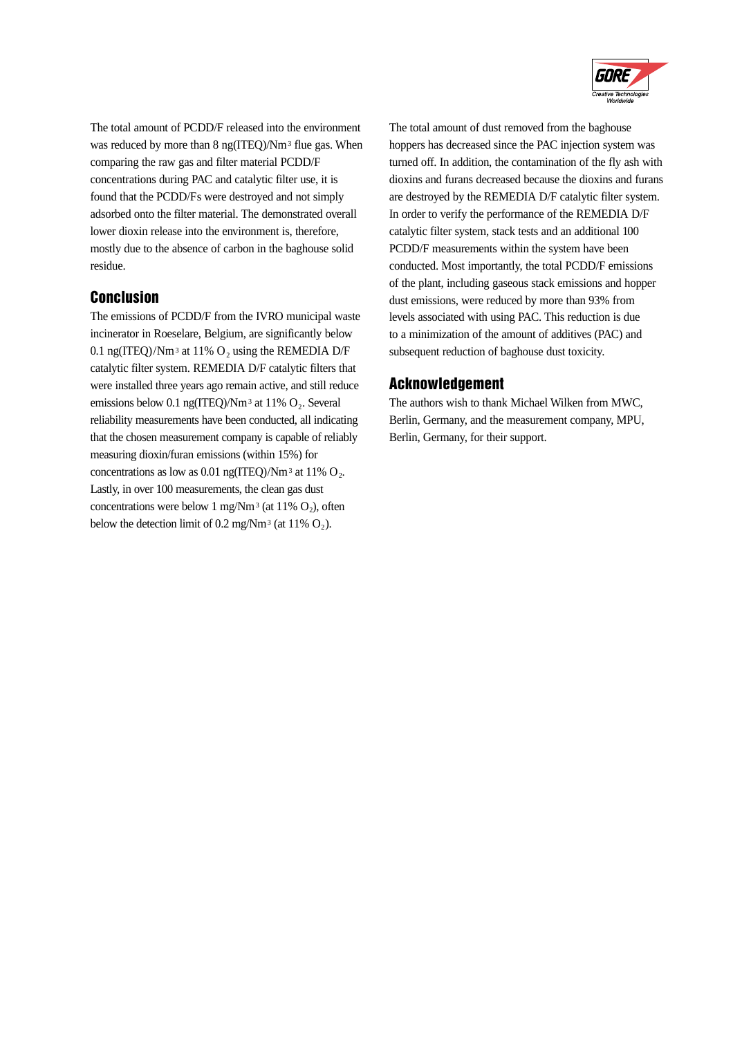

The total amount of PCDD/F released into the environment was reduced by more than 8 ng(ITEO)/Nm<sup>3</sup> flue gas. When comparing the raw gas and filter material PCDD/F concentrations during PAC and catalytic filter use, it is found that the PCDD/Fs were destroyed and not simply adsorbed onto the filter material. The demonstrated overall lower dioxin release into the environment is, therefore, mostly due to the absence of carbon in the baghouse solid residue.

## **Conclusion**

The emissions of PCDD/F from the IVRO municipal waste incinerator in Roeselare, Belgium, are significantly below 0.1 ng(ITEQ)/Nm<sup>3</sup> at 11%  $O_2$  using the REMEDIA D/F catalytic filter system. REMEDIA D/F catalytic filters that were installed three years ago remain active, and still reduce emissions below 0.1 ng(ITEQ)/Nm<sup>3</sup> at 11%  $O_2$ . Several reliability measurements have been conducted, all indicating that the chosen measurement company is capable of reliably measuring dioxin/furan emissions (within 15%) for concentrations as low as 0.01 ng(ITEQ)/Nm<sup>3</sup> at 11%  $O_2$ . Lastly, in over 100 measurements, the clean gas dust concentrations were below 1 mg/Nm<sup>3</sup> (at 11%  $O_2$ ), often below the detection limit of 0.2 mg/Nm<sup>3</sup> (at 11%  $O_2$ ).

The total amount of dust removed from the baghouse hoppers has decreased since the PAC injection system was turned off. In addition, the contamination of the fly ash with dioxins and furans decreased because the dioxins and furans are destroyed by the REMEDIA D/F catalytic filter system. In order to verify the performance of the REMEDIA D/F catalytic filter system, stack tests and an additional 100 PCDD/F measurements within the system have been conducted. Most importantly, the total PCDD/F emissions of the plant, including gaseous stack emissions and hopper dust emissions, were reduced by more than 93% from levels associated with using PAC. This reduction is due to a minimization of the amount of additives (PAC) and subsequent reduction of baghouse dust toxicity.

## **Acknowledgement**

The authors wish to thank Michael Wilken from MWC, Berlin, Germany, and the measurement company, MPU, Berlin, Germany, for their support.